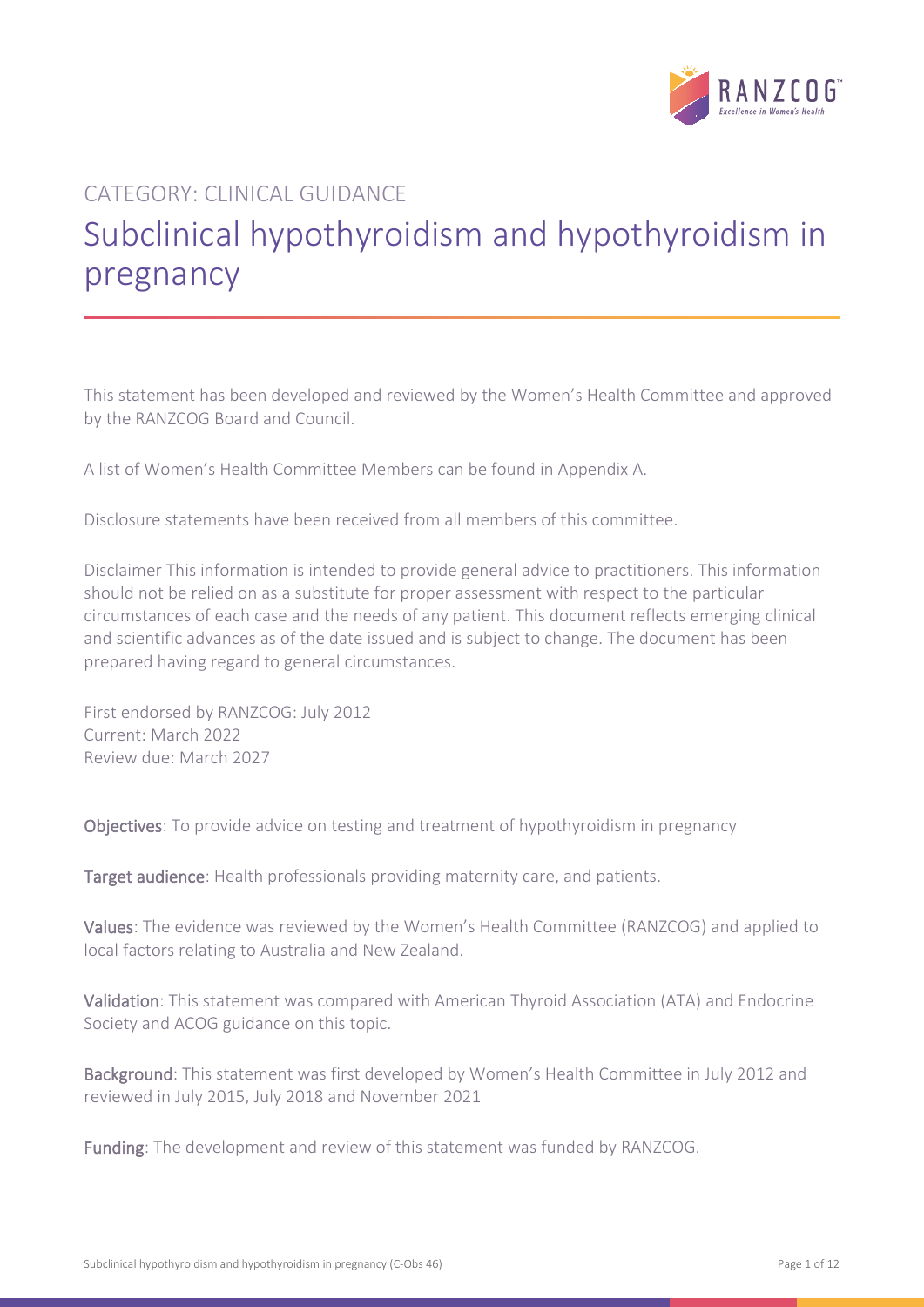

# CATEGORY: CLINICAL GUIDANCE Subclinical hypothyroidism and hypothyroidism in pregnancy

This statement has been developed and reviewed by the Women's Health Committee and approved by the RANZCOG Board and Council.

A list of Women's Health Committee Members can be found in Appendix A.

Disclosure statements have been received from all members of this committee.

Disclaimer This information is intended to provide general advice to practitioners. This information should not be relied on as a substitute for proper assessment with respect to the particular circumstances of each case and the needs of any patient. This document reflects emerging clinical and scientific advances as of the date issued and is subject to change. The document has been prepared having regard to general circumstances.

First endorsed by RANZCOG: July 2012 Current: March 2022 Review due: March 2027

Objectives: To provide advice on testing and treatment of hypothyroidism in pregnancy

Target audience: Health professionals providing maternity care, and patients.

Values: The evidence was reviewed by the Women's Health Committee (RANZCOG) and applied to local factors relating to Australia and New Zealand.

Validation: This statement was compared with American Thyroid Association (ATA) and Endocrine Society and ACOG guidance on this topic.

Background: This statement was first developed by Women's Health Committee in July 2012 and reviewed in July 2015, July 2018 and November 2021

Funding: The development and review of this statement was funded by RANZCOG.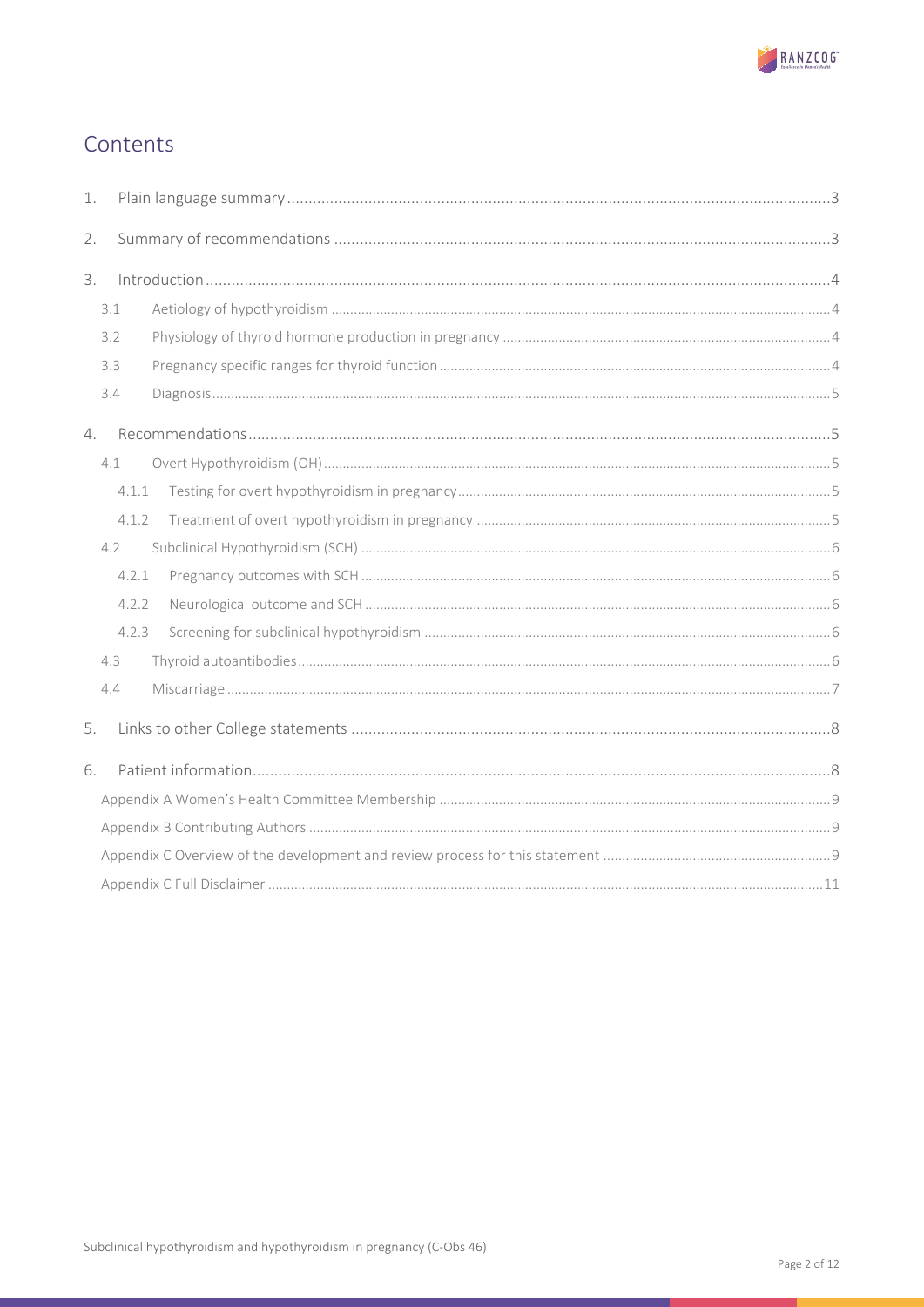

# Contents

| 1. |       |  |  |  |  |
|----|-------|--|--|--|--|
| 2. |       |  |  |  |  |
| 3. |       |  |  |  |  |
|    | 3.1   |  |  |  |  |
|    | 3.2   |  |  |  |  |
|    | 3.3   |  |  |  |  |
|    | 3.4   |  |  |  |  |
| 4. |       |  |  |  |  |
|    | 4.1   |  |  |  |  |
|    | 4.1.1 |  |  |  |  |
|    | 4.1.2 |  |  |  |  |
|    | 4.2   |  |  |  |  |
|    | 4.2.1 |  |  |  |  |
|    | 4.2.2 |  |  |  |  |
|    | 4.2.3 |  |  |  |  |
|    | 4.3   |  |  |  |  |
|    | 4.4   |  |  |  |  |
| 5. |       |  |  |  |  |
| 6. |       |  |  |  |  |
|    |       |  |  |  |  |
|    |       |  |  |  |  |
|    |       |  |  |  |  |
|    |       |  |  |  |  |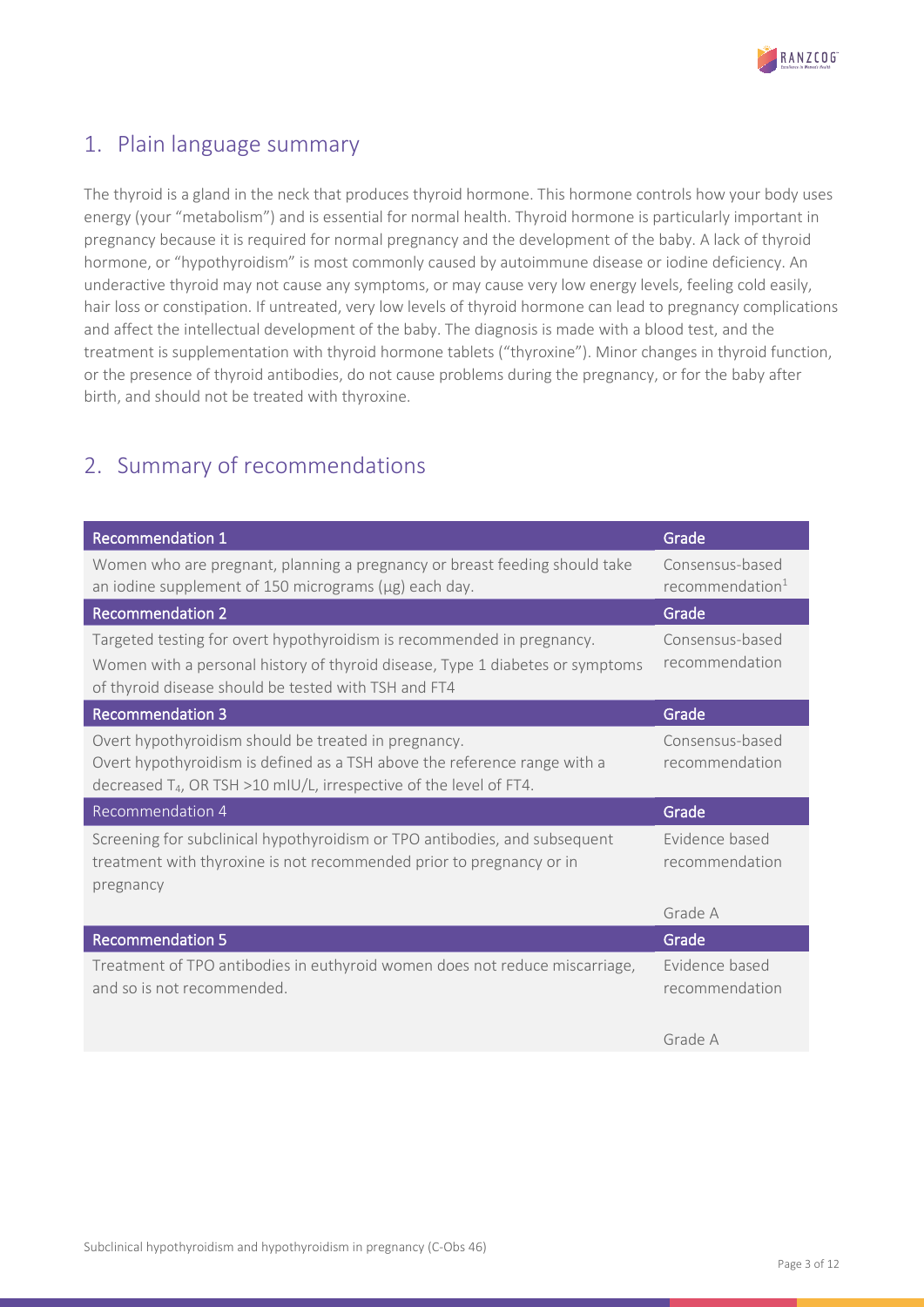

# <span id="page-2-0"></span>1. Plain language summary

The thyroid is a gland in the neck that produces thyroid hormone. This hormone controls how your body uses energy (your "metabolism") and is essential for normal health. Thyroid hormone is particularly important in pregnancy because it is required for normal pregnancy and the development of the baby. A lack of thyroid hormone, or "hypothyroidism" is most commonly caused by autoimmune disease or iodine deficiency. An underactive thyroid may not cause any symptoms, or may cause very low energy levels, feeling cold easily, hair loss or constipation. If untreated, very low levels of thyroid hormone can lead to pregnancy complications and affect the intellectual development of the baby. The diagnosis is made with a blood test, and the treatment is supplementation with thyroid hormone tablets ("thyroxine"). Minor changes in thyroid function, or the presence of thyroid antibodies, do not cause problems during the pregnancy, or for the baby after birth, and should not be treated with thyroxine.

# <span id="page-2-1"></span>2. Summary of recommendations

| <b>Recommendation 1</b>                                                                                                                                                                                             | Grade                             |
|---------------------------------------------------------------------------------------------------------------------------------------------------------------------------------------------------------------------|-----------------------------------|
| Women who are pregnant, planning a pregnancy or breast feeding should take                                                                                                                                          | Consensus-based                   |
| an iodine supplement of 150 micrograms ( $\mu$ g) each day.                                                                                                                                                         | recommendation <sup>1</sup>       |
| <b>Recommendation 2</b>                                                                                                                                                                                             | Grade                             |
| Targeted testing for overt hypothyroidism is recommended in pregnancy.                                                                                                                                              | Consensus-based                   |
| Women with a personal history of thyroid disease, Type 1 diabetes or symptoms<br>of thyroid disease should be tested with TSH and FT4                                                                               | recommendation                    |
| <b>Recommendation 3</b>                                                                                                                                                                                             | Grade                             |
| Overt hypothyroidism should be treated in pregnancy.<br>Overt hypothyroidism is defined as a TSH above the reference range with a<br>decreased T <sub>4</sub> , OR TSH >10 mIU/L, irrespective of the level of FT4. | Consensus-based<br>recommendation |
| <b>Recommendation 4</b>                                                                                                                                                                                             | Grade                             |
| Screening for subclinical hypothyroidism or TPO antibodies, and subsequent<br>treatment with thyroxine is not recommended prior to pregnancy or in<br>pregnancy                                                     | Evidence based<br>recommendation  |
|                                                                                                                                                                                                                     | Grade A                           |
| <b>Recommendation 5</b>                                                                                                                                                                                             | Grade                             |
| Treatment of TPO antibodies in euthyroid women does not reduce miscarriage,                                                                                                                                         | Evidence based                    |
| and so is not recommended.                                                                                                                                                                                          | recommendation                    |
|                                                                                                                                                                                                                     | Grade A                           |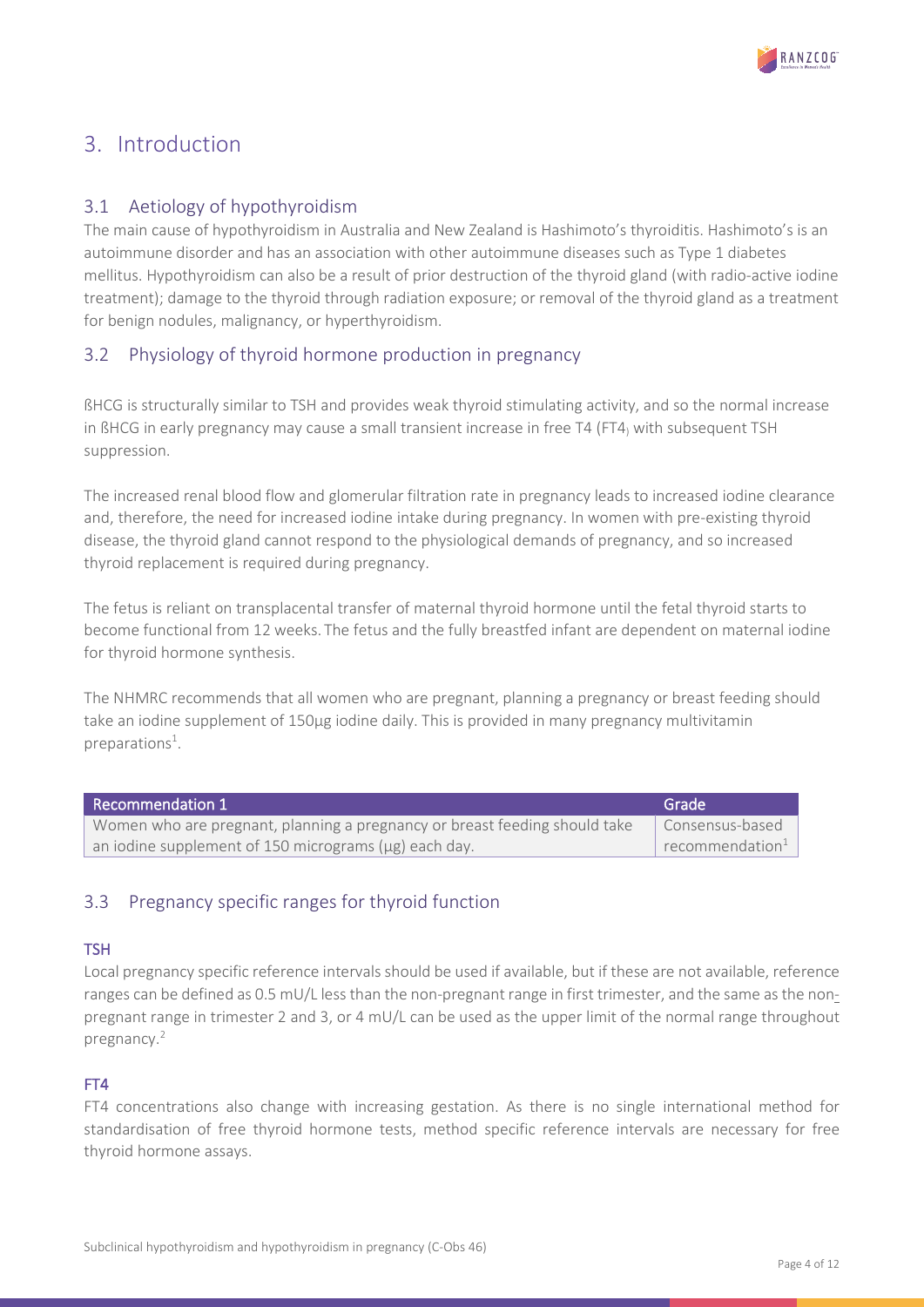

# <span id="page-3-0"></span>3. Introduction

### <span id="page-3-1"></span>3.1 Aetiology of hypothyroidism

The main cause of hypothyroidism in Australia and New Zealand is Hashimoto's thyroiditis. Hashimoto's is an autoimmune disorder and has an association with other autoimmune diseases such as Type 1 diabetes mellitus. Hypothyroidism can also be a result of prior destruction of the thyroid gland (with radio-active iodine treatment); damage to the thyroid through radiation exposure; or removal of the thyroid gland as a treatment for benign nodules, malignancy, or hyperthyroidism.

## <span id="page-3-2"></span>3.2 Physiology of thyroid hormone production in pregnancy

ßHCG is structurally similar to TSH and provides weak thyroid stimulating activity, and so the normal increase in ßHCG in early pregnancy may cause a small transient increase in free T4 (FT4) with subsequent TSH suppression.

The increased renal blood flow and glomerular filtration rate in pregnancy leads to increased iodine clearance and, therefore, the need for increased iodine intake during pregnancy. In women with pre-existing thyroid disease, the thyroid gland cannot respond to the physiological demands of pregnancy, and so increased thyroid replacement is required during pregnancy.

The fetus is reliant on transplacental transfer of maternal thyroid hormone until the fetal thyroid starts to become functional from 12 weeks. The fetus and the fully breastfed infant are dependent on maternal iodine for thyroid hormone synthesis.

The NHMRC recommends that all women who are pregnant, planning a pregnancy or breast feeding should take an iodine supplement of 150µg iodine daily. This is provided in many pregnancy multivitamin preparations<sup>1</sup>.

| Recommendation 1                                                           | Grade                                    |
|----------------------------------------------------------------------------|------------------------------------------|
| Women who are pregnant, planning a pregnancy or breast feeding should take | Consensus-based                          |
| an iodine supplement of 150 micrograms ( $\mu$ g) each day.                | $\mathsf{I}$ recommendation <sup>1</sup> |

# <span id="page-3-3"></span>3.3 Pregnancy specific ranges for thyroid function

#### **TSH**

Local pregnancy specific reference intervals should be used if available, but if these are not available, reference ranges can be defined as 0.5 mU/L less than the non-pregnant range in first trimester, and the same as the nonpregnant range in trimester 2 and 3, or 4 mU/L can be used as the upper limit of the normal range throughout pregnancy.<sup>2</sup>

### FT4

FT4 concentrations also change with increasing gestation. As there is no single international method for standardisation of free thyroid hormone tests, method specific reference intervals are necessary for free thyroid hormone assays.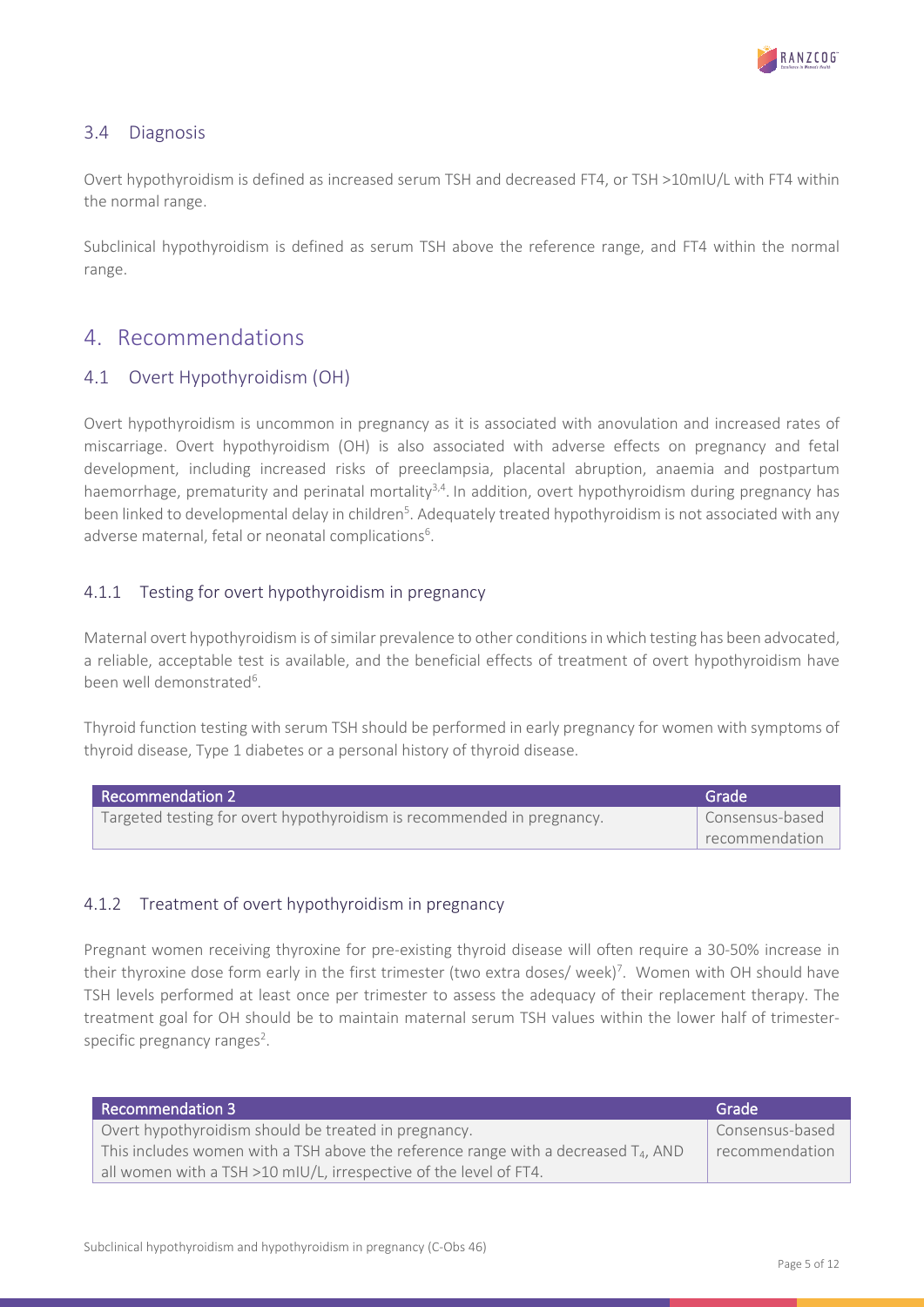

#### <span id="page-4-0"></span>3.4 Diagnosis

Overt hypothyroidism is defined as increased serum TSH and decreased FT4, or TSH >10mIU/L with FT4 within the normal range.

Subclinical hypothyroidism is defined as serum TSH above the reference range, and FT4 within the normal range.

# <span id="page-4-1"></span>4. Recommendations

### <span id="page-4-2"></span>4.1 Overt Hypothyroidism (OH)

Overt hypothyroidism is uncommon in pregnancy as it is associated with anovulation and increased rates of miscarriage. Overt hypothyroidism (OH) is also associated with adverse effects on pregnancy and fetal development, including increased risks of preeclampsia, placental abruption, anaemia and postpartum haemorrhage, prematurity and perinatal mortality<sup>3,4</sup>. In addition, overt hypothyroidism during pregnancy has been linked to developmental delay in children<sup>5</sup>. Adequately treated hypothyroidism is not associated with any adverse maternal, fetal or neonatal complications<sup>6</sup>.

#### <span id="page-4-3"></span>4.1.1 Testing for overt hypothyroidism in pregnancy

Maternal overt hypothyroidism is of similar prevalence to other conditions in which testing has been advocated, a reliable, acceptable test is available, and the beneficial effects of treatment of overt hypothyroidism have been well demonstrated<sup>6</sup>.

Thyroid function testing with serum TSH should be performed in early pregnancy for women with symptoms of thyroid disease, Type 1 diabetes or a personal history of thyroid disease.

| <b>Recommendation 2</b>                                                | Grade           |
|------------------------------------------------------------------------|-----------------|
| Targeted testing for overt hypothyroidism is recommended in pregnancy. | Consensus-based |
|                                                                        | recommendation  |

#### <span id="page-4-4"></span>4.1.2 Treatment of overt hypothyroidism in pregnancy

Pregnant women receiving thyroxine for pre-existing thyroid disease will often require a 30-50% increase in their thyroxine dose form early in the first trimester (two extra doses/ week)<sup>7</sup>. Women with OH should have TSH levels performed at least once per trimester to assess the adequacy of their replacement therapy. The treatment goal for OH should be to maintain maternal serum TSH values within the lower half of trimesterspecific pregnancy ranges<sup>2</sup>.

| <b>Recommendation 3</b>                                                                        | Grade           |
|------------------------------------------------------------------------------------------------|-----------------|
| Overt hypothyroidism should be treated in pregnancy.                                           | Consensus-based |
| This includes women with a TSH above the reference range with a decreased T <sub>4</sub> , AND | recommendation  |
| all women with a TSH >10 mIU/L, irrespective of the level of FT4.                              |                 |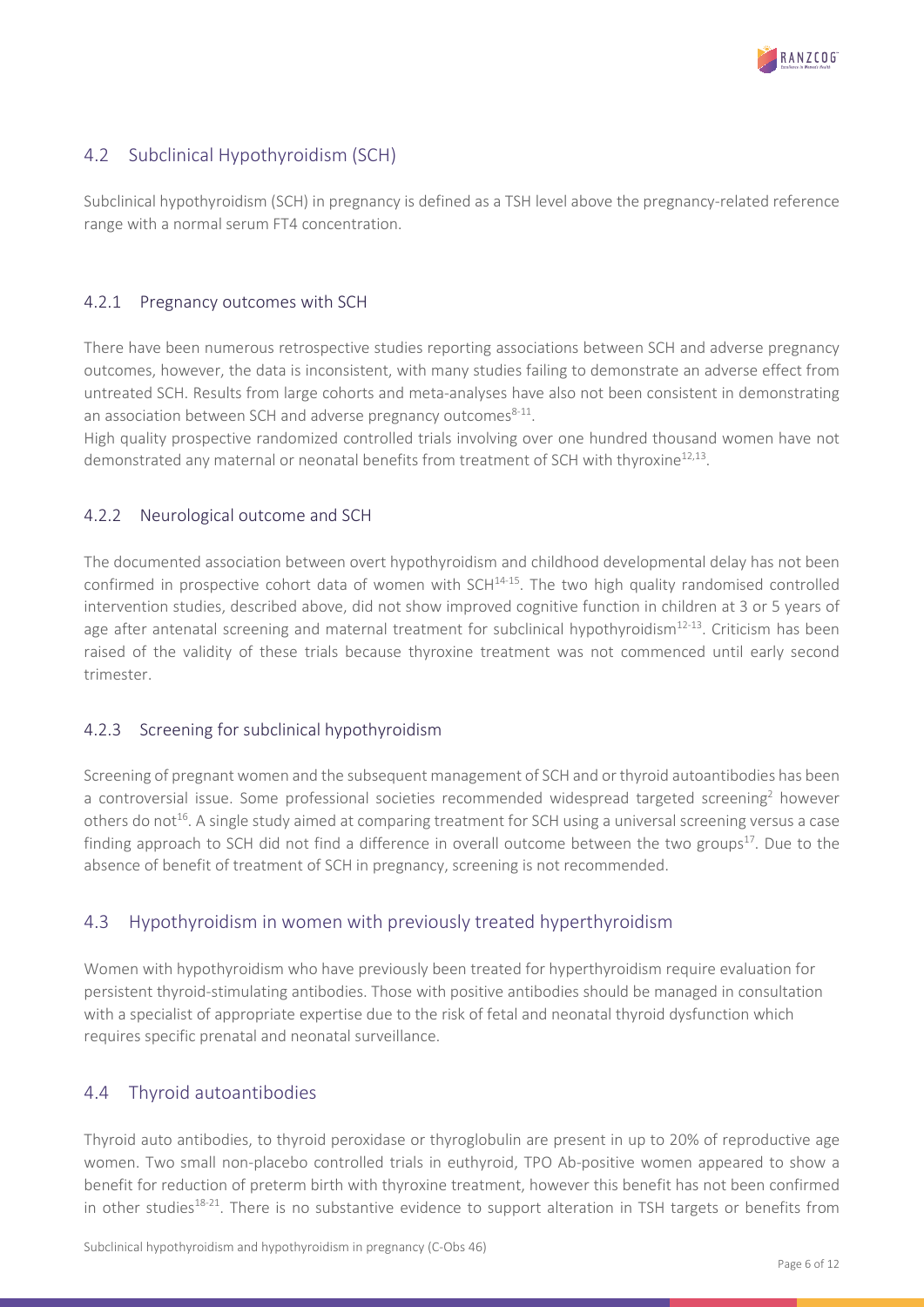

# <span id="page-5-0"></span>4.2 Subclinical Hypothyroidism (SCH)

Subclinical hypothyroidism (SCH) in pregnancy is defined as a TSH level above the pregnancy-related reference range with a normal serum FT4 concentration.

#### <span id="page-5-1"></span>4.2.1 Pregnancy outcomes with SCH

There have been numerous retrospective studies reporting associations between SCH and adverse pregnancy outcomes, however, the data is inconsistent, with many studies failing to demonstrate an adverse effect from untreated SCH. Results from large cohorts and meta-analyses have also not been consistent in demonstrating an association between SCH and adverse pregnancy outcomes<sup>8-11</sup>.

High quality prospective randomized controlled trials involving over one hundred thousand women have not demonstrated any maternal or neonatal benefits from treatment of SCH with thyroxine<sup>12,13</sup>.

#### <span id="page-5-2"></span>4.2.2 Neurological outcome and SCH

The documented association between overt hypothyroidism and childhood developmental delay has not been confirmed in prospective cohort data of women with  $SCH<sup>14-15</sup>$ . The two high quality randomised controlled intervention studies, described above, did not show improved cognitive function in children at 3 or 5 years of age after antenatal screening and maternal treatment for subclinical hypothyroidism $12-13$ . Criticism has been raised of the validity of these trials because thyroxine treatment was not commenced until early second trimester.

#### <span id="page-5-3"></span>4.2.3 Screening for subclinical hypothyroidism

Screening of pregnant women and the subsequent management of SCH and or thyroid autoantibodies has been a controversial issue. Some professional societies recommended widespread targeted screening<sup>2</sup> however others do not<sup>16</sup>. A single study aimed at comparing treatment for SCH using a universal screening versus a case finding approach to SCH did not find a difference in overall outcome between the two groups $^{17}$ . Due to the absence of benefit of treatment of SCH in pregnancy, screening is not recommended.

### <span id="page-5-4"></span>4.3 Hypothyroidism in women with previously treated hyperthyroidism

Women with hypothyroidism who have previously been treated for hyperthyroidism require evaluation for persistent thyroid-stimulating antibodies. Those with positive antibodies should be managed in consultation with a specialist of appropriate expertise due to the risk of fetal and neonatal thyroid dysfunction which requires specific prenatal and neonatal surveillance.

### 4.4 Thyroid autoantibodies

Thyroid auto antibodies, to thyroid peroxidase or thyroglobulin are present in up to 20% of reproductive age women. Two small non-placebo controlled trials in euthyroid, TPO Ab-positive women appeared to show a benefit for reduction of preterm birth with thyroxine treatment, however this benefit has not been confirmed in other studies<sup>18-21</sup>. There is no substantive evidence to support alteration in TSH targets or benefits from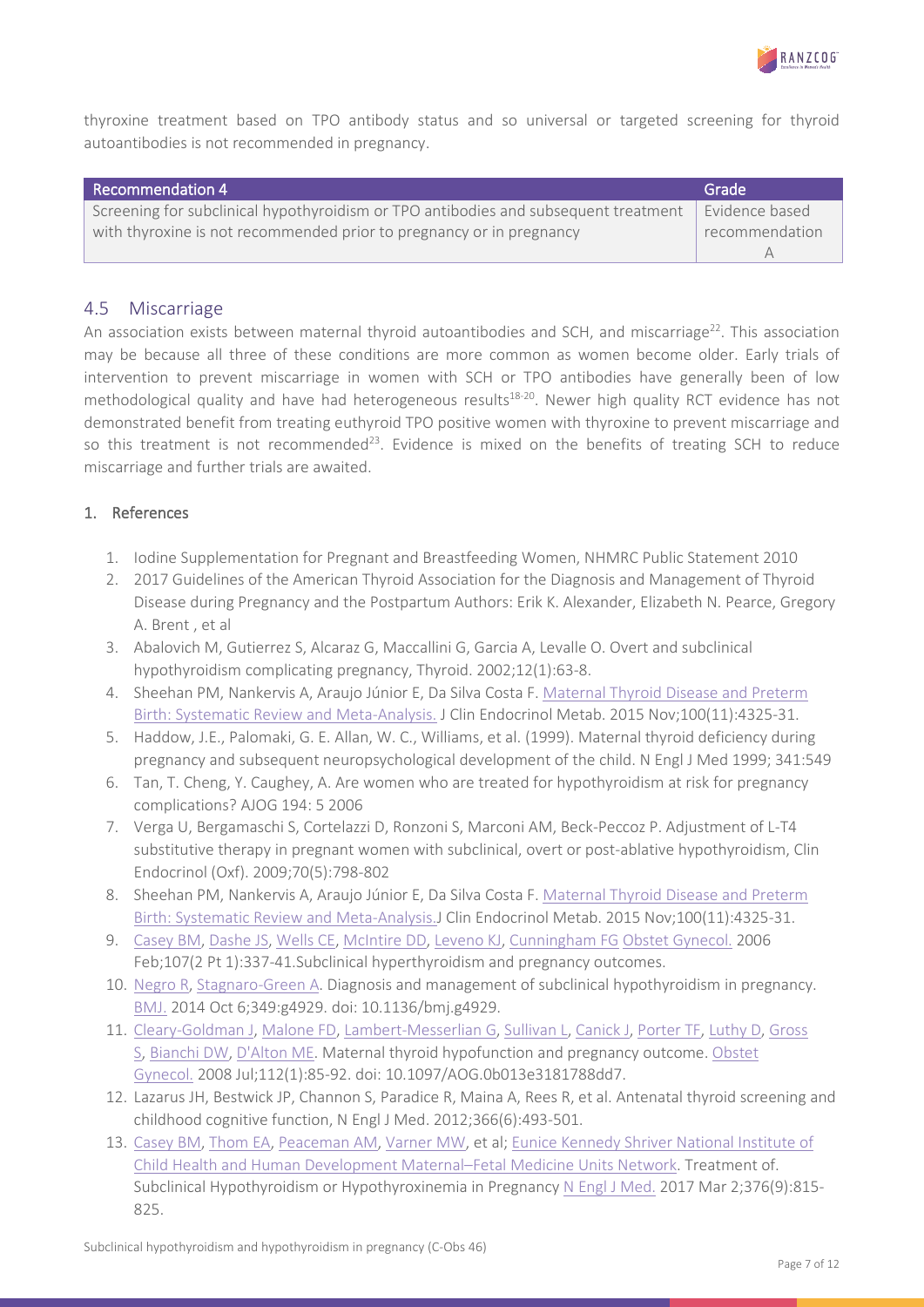

thyroxine treatment based on TPO antibody status and so universal or targeted screening for thyroid autoantibodies is not recommended in pregnancy.

| Recommendation 4                                                                    | Grade          |
|-------------------------------------------------------------------------------------|----------------|
| Screening for subclinical hypothyroidism or TPO antibodies and subsequent treatment | Evidence based |
| with thyroxine is not recommended prior to pregnancy or in pregnancy                | recommendation |
|                                                                                     |                |

#### <span id="page-6-0"></span>4.5 Miscarriage

An association exists between maternal thyroid autoantibodies and SCH, and miscarriage<sup>22</sup>. This association may be because all three of these conditions are more common as women become older. Early trials of intervention to prevent miscarriage in women with SCH or TPO antibodies have generally been of low methodological quality and have had heterogeneous results<sup>18-20</sup>. Newer high quality RCT evidence has not demonstrated benefit from treating euthyroid TPO positive women with thyroxine to prevent miscarriage and so this treatment is not recommended<sup>23</sup>. Evidence is mixed on the benefits of treating SCH to reduce miscarriage and further trials are awaited.

#### 1. References

- 1. Iodine Supplementation for Pregnant and Breastfeeding Women, NHMRC Public Statement 2010
- 2. 2017 Guidelines of the American Thyroid Association for the Diagnosis and Management of Thyroid Disease during Pregnancy and the Postpartum Authors: Erik K. Alexander, Elizabeth N. Pearce, Gregory A. Brent , et al
- 3. Abalovich M, Gutierrez S, Alcaraz G, Maccallini G, Garcia A, Levalle O. Overt and subclinical hypothyroidism complicating pregnancy, Thyroid. 2002;12(1):63-8.
- 4. Sheehan PM, Nankervis A, Araujo Júnior E, Da Silva Costa F. Maternal Thyroid [Disease and Preterm](https://www.ncbi.nlm.nih.gov/pubmed/26383905)  [Birth: Systematic Review and Meta-Analysis.](https://www.ncbi.nlm.nih.gov/pubmed/26383905) J Clin Endocrinol Metab. 2015 Nov;100(11):4325-31.
- 5. Haddow, J.E., Palomaki, G. E. Allan, W. C., Williams, et al. (1999). Maternal thyroid deficiency during pregnancy and subsequent neuropsychological development of the child. N Engl J Med 1999; 341:549
- 6. Tan, T. Cheng, Y. Caughey, A. Are women who are treated for hypothyroidism at risk for pregnancy complications? AJOG 194: 5 2006
- 7. Verga U, Bergamaschi S, Cortelazzi D, Ronzoni S, Marconi AM, Beck-Peccoz P. Adjustment of L-T4 substitutive therapy in pregnant women with subclinical, overt or post-ablative hypothyroidism, Clin Endocrinol (Oxf). 2009;70(5):798-802
- 8. Sheehan PM, Nankervis A, Araujo Júnior E, Da Silva Costa F. Maternal Thyroid Disease and Preterm [Birth: Systematic Review and Meta-Analysis.J](https://www.ncbi.nlm.nih.gov/pubmed/26383905) Clin Endocrinol Metab. 2015 Nov;100(11):4325-31.
- 9. [Casey BM,](https://www.ncbi.nlm.nih.gov/pubmed/?term=Casey%20BM%5BAuthor%5D&cauthor=true&cauthor_uid=16449121) [Dashe JS,](https://www.ncbi.nlm.nih.gov/pubmed/?term=Dashe%20JS%5BAuthor%5D&cauthor=true&cauthor_uid=16449121) [Wells CE,](https://www.ncbi.nlm.nih.gov/pubmed/?term=Wells%20CE%5BAuthor%5D&cauthor=true&cauthor_uid=16449121) [McIntire DD,](https://www.ncbi.nlm.nih.gov/pubmed/?term=McIntire%20DD%5BAuthor%5D&cauthor=true&cauthor_uid=16449121) [Leveno KJ,](https://www.ncbi.nlm.nih.gov/pubmed/?term=Leveno%20KJ%5BAuthor%5D&cauthor=true&cauthor_uid=16449121) [Cunningham FG](https://www.ncbi.nlm.nih.gov/pubmed/?term=Cunningham%20FG%5BAuthor%5D&cauthor=true&cauthor_uid=16449121) [Obstet Gynecol.](https://www.ncbi.nlm.nih.gov/pubmed/16449121) 2006 Feb;107(2 Pt 1):337-41.Subclinical hyperthyroidism and pregnancy outcomes.
- 10. [Negro](https://www.ncbi.nlm.nih.gov/pubmed/?term=Negro%20R%5BAuthor%5D&cauthor=true&cauthor_uid=25288580) R, [Stagnaro-Green A.](https://www.ncbi.nlm.nih.gov/pubmed/?term=Stagnaro-Green%20A%5BAuthor%5D&cauthor=true&cauthor_uid=25288580) Diagnosis and management of subclinical hypothyroidism in pregnancy. [BMJ.](https://www.ncbi.nlm.nih.gov/pubmed/?term=negro+bmj+2014+thyroid) 2014 Oct 6;349:g4929. doi: 10.1136/bmj.g4929.
- 11. [Cleary-Goldman](https://www.ncbi.nlm.nih.gov/pubmed/?term=Cleary-Goldman%20J%5BAuthor%5D&cauthor=true&cauthor_uid=18591312) J, [Malone FD,](https://www.ncbi.nlm.nih.gov/pubmed/?term=Malone%20FD%5BAuthor%5D&cauthor=true&cauthor_uid=18591312) [Lambert-Messerlian](https://www.ncbi.nlm.nih.gov/pubmed/?term=Lambert-Messerlian%20G%5BAuthor%5D&cauthor=true&cauthor_uid=18591312) G, [Sullivan L,](https://www.ncbi.nlm.nih.gov/pubmed/?term=Sullivan%20L%5BAuthor%5D&cauthor=true&cauthor_uid=18591312) [Canick J,](https://www.ncbi.nlm.nih.gov/pubmed/?term=Canick%20J%5BAuthor%5D&cauthor=true&cauthor_uid=18591312) [Porter TF,](https://www.ncbi.nlm.nih.gov/pubmed/?term=Porter%20TF%5BAuthor%5D&cauthor=true&cauthor_uid=18591312) [Luthy D,](https://www.ncbi.nlm.nih.gov/pubmed/?term=Luthy%20D%5BAuthor%5D&cauthor=true&cauthor_uid=18591312) [Gross](https://www.ncbi.nlm.nih.gov/pubmed/?term=Gross%20S%5BAuthor%5D&cauthor=true&cauthor_uid=18591312)  [S,](https://www.ncbi.nlm.nih.gov/pubmed/?term=Gross%20S%5BAuthor%5D&cauthor=true&cauthor_uid=18591312) [Bianchi DW,](https://www.ncbi.nlm.nih.gov/pubmed/?term=Bianchi%20DW%5BAuthor%5D&cauthor=true&cauthor_uid=18591312) [D'Alton ME.](https://www.ncbi.nlm.nih.gov/pubmed/?term=D%27Alton%20ME%5BAuthor%5D&cauthor=true&cauthor_uid=18591312) Maternal thyroid hypofunction and pregnancy outcome. [Obstet](https://www.ncbi.nlm.nih.gov/pubmed/18591312)  [Gynecol.](https://www.ncbi.nlm.nih.gov/pubmed/18591312) 2008 Jul;112(1):85-92. doi: 10.1097/AOG.0b013e3181788dd7.
- 12. Lazarus JH, Bestwick JP, Channon S, Paradice R, Maina A, Rees R, et al. Antenatal thyroid screening and childhood cognitive function, N Engl J Med. 2012;366(6):493-501.
- 13. [Casey BM,](https://www.ncbi.nlm.nih.gov/pubmed/?term=Casey%20BM%5BAuthor%5D&cauthor=true&cauthor_uid=28249134) [Thom EA,](https://www.ncbi.nlm.nih.gov/pubmed/?term=Thom%20EA%5BAuthor%5D&cauthor=true&cauthor_uid=28249134) [Peaceman AM,](https://www.ncbi.nlm.nih.gov/pubmed/?term=Peaceman%20AM%5BAuthor%5D&cauthor=true&cauthor_uid=28249134) [Varner MW,](https://www.ncbi.nlm.nih.gov/pubmed/?term=Varner%20MW%5BAuthor%5D&cauthor=true&cauthor_uid=28249134) et al; [Eunice Kennedy Shriver National Institute of](https://www.ncbi.nlm.nih.gov/pubmed/?term=Eunice%20Kennedy%20Shriver%20National%20Institute%20of%20Child%20Health%20and%20Human%20Development%20Maternal%E2%80%93Fetal%20Medicine%20Units%20Network%5BCorporate%20Author%5D)  [Child Health and Human Development Maternal–Fetal Medicine Units Network.](https://www.ncbi.nlm.nih.gov/pubmed/?term=Eunice%20Kennedy%20Shriver%20National%20Institute%20of%20Child%20Health%20and%20Human%20Development%20Maternal%E2%80%93Fetal%20Medicine%20Units%20Network%5BCorporate%20Author%5D) Treatment of. Subclinical Hypothyroidism or Hypothyroxinemia in Pregnancy [N Engl J Med.](https://www.ncbi.nlm.nih.gov/pubmed/28249134) 2017 Mar 2;376(9):815-825.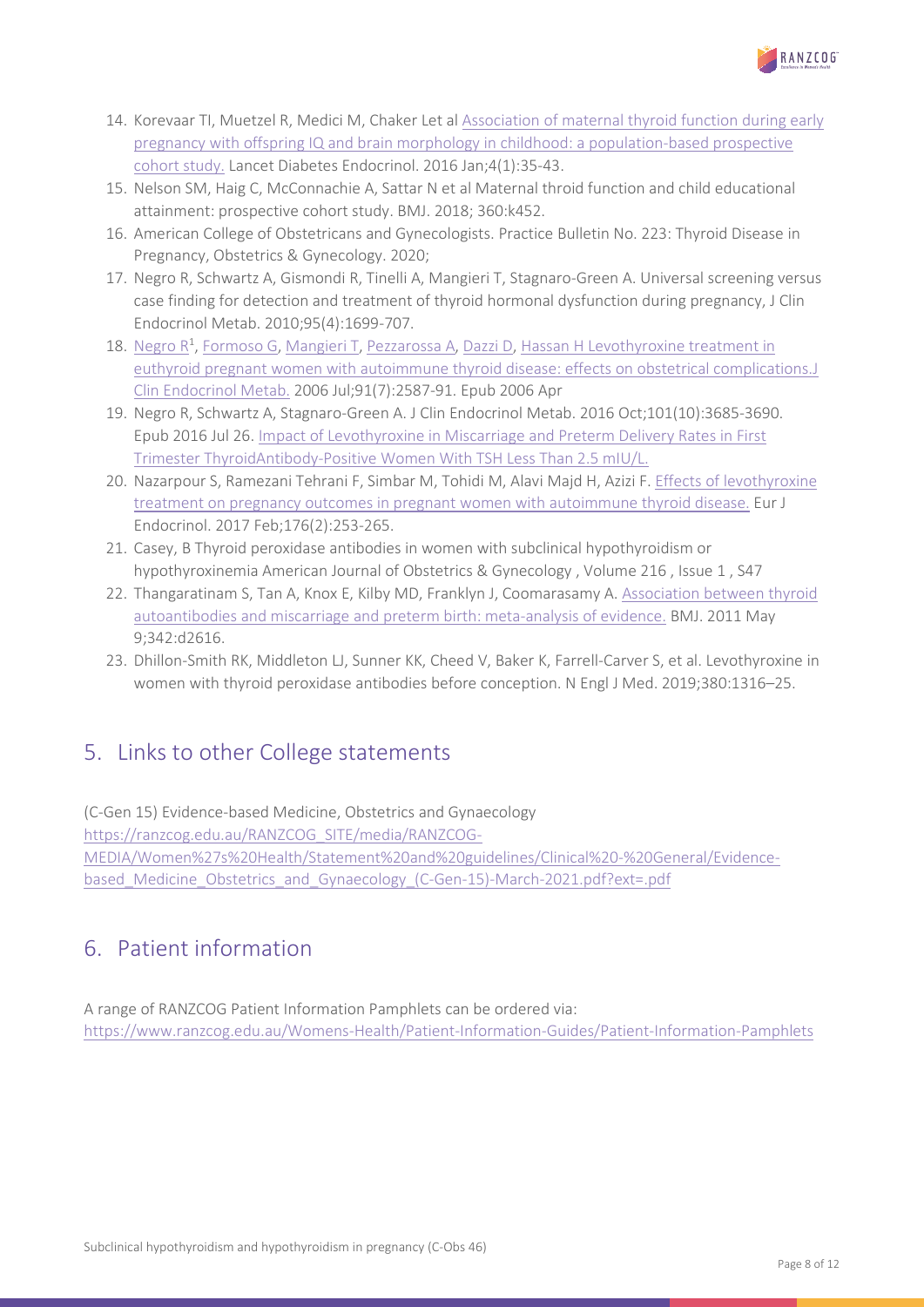

- 14. Korevaar TI, Muetzel R, Medici M, Chaker Let al [Association of maternal](https://www.ncbi.nlm.nih.gov/pubmed/26497402) thyroid function during early [pregnancy with offspring IQ and brain morphology in childhood: a population-based prospective](https://www.ncbi.nlm.nih.gov/pubmed/26497402)  [cohort study.](https://www.ncbi.nlm.nih.gov/pubmed/26497402) Lancet Diabetes Endocrinol. 2016 Jan;4(1):35-43.
- 15. Nelson SM, Haig C, McConnachie A, Sattar N et al Maternal throid function and child educational attainment: prospective cohort study. BMJ. 2018; 360:k452.
- 16. American College of Obstetricans and Gynecologists. Practice Bulletin No. 223: Thyroid Disease in Pregnancy, Obstetrics & Gynecology. 2020;
- 17. Negro R, Schwartz A, Gismondi R, Tinelli A, Mangieri T, Stagnaro-Green A. Universal screening versus case finding for detection and treatment of thyroid hormonal dysfunction during pregnancy, J Clin Endocrinol Metab. 2010;95(4):1699-707.
- 18. [Negro](https://www.ncbi.nlm.nih.gov/pubmed/?term=Negro%20R%5BAuthor%5D&cauthor=true&cauthor_uid=16621910) R<sup>1</sup>, [Formoso G,](https://www.ncbi.nlm.nih.gov/pubmed/?term=Formoso%20G%5BAuthor%5D&cauthor=true&cauthor_uid=16621910) [Mangieri T,](https://www.ncbi.nlm.nih.gov/pubmed/?term=Mangieri%20T%5BAuthor%5D&cauthor=true&cauthor_uid=16621910) [Pezzarossa A,](https://www.ncbi.nlm.nih.gov/pubmed/?term=Pezzarossa%20A%5BAuthor%5D&cauthor=true&cauthor_uid=16621910) [Dazzi D,](https://www.ncbi.nlm.nih.gov/pubmed/?term=Dazzi%20D%5BAuthor%5D&cauthor=true&cauthor_uid=16621910) [Hassan H](https://www.ncbi.nlm.nih.gov/pubmed/?term=Hassan%20H%5BAuthor%5D&cauthor=true&cauthor_uid=16621910) Levothyroxine treatment in euthyroid pregnant women with autoimmune thyroid [disease: effects on obstetrical complications.J](https://www.ncbi.nlm.nih.gov/pubmed/16621910)  [Clin Endocrinol Metab.](https://www.ncbi.nlm.nih.gov/pubmed/16621910) 2006 Jul;91(7):2587-91. Epub 2006 Apr
- 19. Negro R, Schwartz A, Stagnaro-Green A. J Clin Endocrinol Metab. 2016 Oct;101(10):3685-3690. Epub 2016 Jul 26[. Impact of Levothyroxine in Miscarriage and Preterm Delivery Rates in First](https://www.ncbi.nlm.nih.gov/pubmed/27459527)  Trimester [ThyroidAntibody-Positive Women With TSH Less Than 2.5 mIU/L.](https://www.ncbi.nlm.nih.gov/pubmed/27459527)
- 20. Nazarpour S, Ramezani Tehrani F, Simbar M, Tohidi M, Alavi Majd H, Azizi F. [Effects of levothyroxine](https://www.ncbi.nlm.nih.gov/pubmed/27879326)  treatment on pregnancy [outcomes in pregnant women with autoimmune](https://www.ncbi.nlm.nih.gov/pubmed/27879326) thyroid disease. Eur J Endocrinol. 2017 Feb;176(2):253-265.
- 21. Casey, B Thyroid peroxidase antibodies in women with subclinical hypothyroidism or hypothyroxinemia American Journal of Obstetrics & Gynecology , Volume 216 , Issue 1 , S47
- 22. Thangaratinam S, Tan A, Knox E, Kilby MD, Franklyn J, Coomarasamy A. [Association between thyroid](https://www.ncbi.nlm.nih.gov/pubmed/21558126)  [autoantibodies and miscarriage and preterm birth: meta-analysis of evidence.](https://www.ncbi.nlm.nih.gov/pubmed/21558126) BMJ. 2011 May 9;342:d2616.
- 23. Dhillon-Smith RK, Middleton LJ, Sunner KK, Cheed V, Baker K, Farrell-Carver S, et al. Levothyroxine in women with thyroid peroxidase antibodies before conception. N Engl J Med. 2019;380:1316–25.

# <span id="page-7-0"></span>5. Links to other College statements

(C-Gen 15) Evidence-based Medicine, Obstetrics and Gynaecology [https://ranzcog.edu.au/RANZCOG\\_SITE/media/RANZCOG-](https://ranzcog.edu.au/RANZCOG_SITE/media/RANZCOG-MEDIA/Women%27s%20Health/Statement%20and%20guidelines/Clinical%20-%20General/Evidence-based_Medicine_Obstetrics_and_Gynaecology_(C-Gen-15)-March-2021.pdf?ext=.pdf)[MEDIA/Women%27s%20Health/Statement%20and%20guidelines/Clinical%20-%20General/Evidence](https://ranzcog.edu.au/RANZCOG_SITE/media/RANZCOG-MEDIA/Women%27s%20Health/Statement%20and%20guidelines/Clinical%20-%20General/Evidence-based_Medicine_Obstetrics_and_Gynaecology_(C-Gen-15)-March-2021.pdf?ext=.pdf)[based\\_Medicine\\_Obstetrics\\_and\\_Gynaecology\\_\(C-Gen-15\)-March-2021.pdf?ext=.pdf](https://ranzcog.edu.au/RANZCOG_SITE/media/RANZCOG-MEDIA/Women%27s%20Health/Statement%20and%20guidelines/Clinical%20-%20General/Evidence-based_Medicine_Obstetrics_and_Gynaecology_(C-Gen-15)-March-2021.pdf?ext=.pdf)

# <span id="page-7-1"></span>6. Patient information

A range of RANZCOG Patient Information Pamphlets can be ordered via: <https://www.ranzcog.edu.au/Womens-Health/Patient-Information-Guides/Patient-Information-Pamphlets>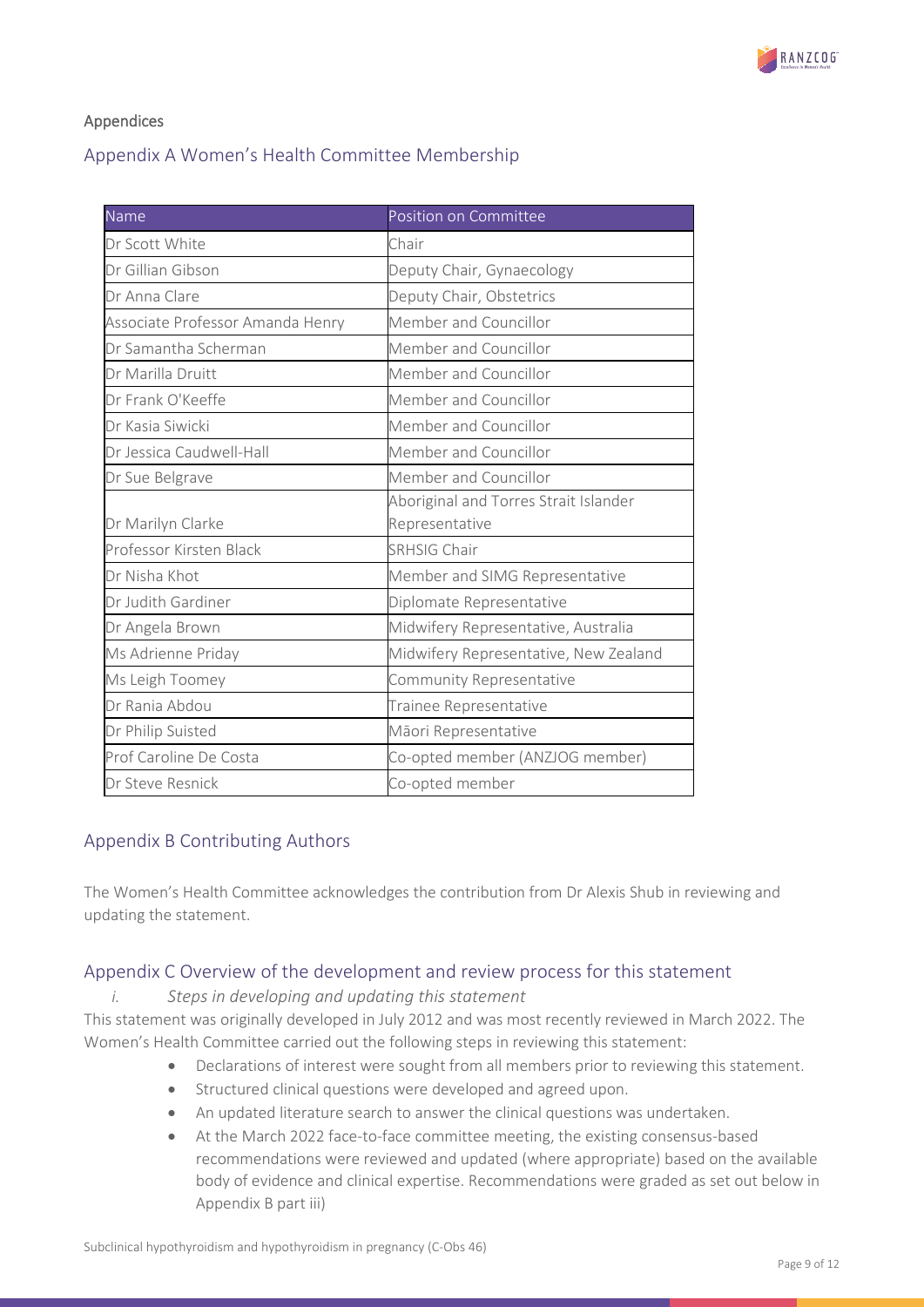

#### Appendices

# <span id="page-8-0"></span>Appendix A Women's Health Committee Membership

| Name                             | Position on Committee                 |
|----------------------------------|---------------------------------------|
| Dr Scott White                   | Chair                                 |
| Dr Gillian Gibson                | Deputy Chair, Gynaecology             |
| Dr Anna Clare                    | Deputy Chair, Obstetrics              |
| Associate Professor Amanda Henry | Member and Councillor                 |
| Dr Samantha Scherman             | Member and Councillor                 |
| Dr Marilla Druitt                | Member and Councillor                 |
| Dr Frank O'Keeffe                | Member and Councillor                 |
| Dr Kasia Siwicki                 | Member and Councillor                 |
| Dr Jessica Caudwell-Hall         | Member and Councillor                 |
| Dr Sue Belgrave                  | Member and Councillor                 |
|                                  | Aboriginal and Torres Strait Islander |
| Dr Marilyn Clarke                | Representative                        |
| Professor Kirsten Black          | <b>SRHSIG Chair</b>                   |
| Dr Nisha Khot                    | Member and SIMG Representative        |
| Dr Judith Gardiner               | Diplomate Representative              |
| Dr Angela Brown                  | Midwifery Representative, Australia   |
| Ms Adrienne Priday               | Midwifery Representative, New Zealand |
| Ms Leigh Toomey                  | Community Representative              |
| Dr Rania Abdou                   | Trainee Representative                |
| Dr Philip Suisted                | Māori Representative                  |
| Prof Caroline De Costa           | Co-opted member (ANZJOG member)       |
| Dr Steve Resnick                 | Co-opted member                       |

# <span id="page-8-1"></span>Appendix B Contributing Authors

The Women's Health Committee acknowledges the contribution from Dr Alexis Shub in reviewing and updating the statement.

### <span id="page-8-2"></span>Appendix C Overview of the development and review process for this statement

#### *i. Steps in developing and updating this statement*

This statement was originally developed in July 2012 and was most recently reviewed in March 2022. The Women's Health Committee carried out the following steps in reviewing this statement:

- Declarations of interest were sought from all members prior to reviewing this statement.
- Structured clinical questions were developed and agreed upon.
- An updated literature search to answer the clinical questions was undertaken.
- At the March 2022 face-to-face committee meeting, the existing consensus-based recommendations were reviewed and updated (where appropriate) based on the available body of evidence and clinical expertise. Recommendations were graded as set out below in Appendix B part iii)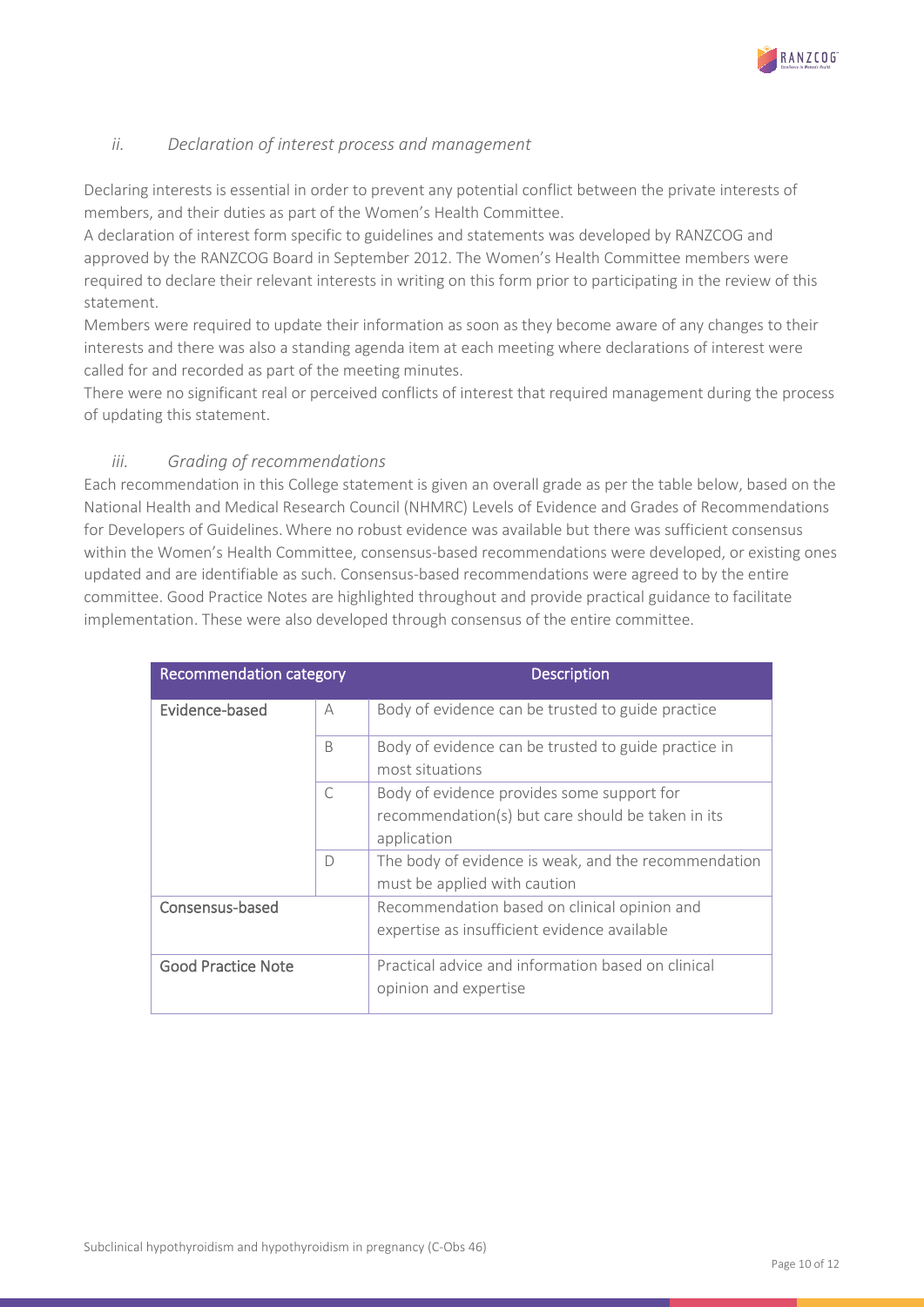

#### *ii. Declaration of interest process and management*

Declaring interests is essential in order to prevent any potential conflict between the private interests of members, and their duties as part of the Women's Health Committee.

A declaration of interest form specific to guidelines and statements was developed by RANZCOG and approved by the RANZCOG Board in September 2012. The Women's Health Committee members were required to declare their relevant interests in writing on this form prior to participating in the review of this statement.

Members were required to update their information as soon as they become aware of any changes to their interests and there was also a standing agenda item at each meeting where declarations of interest were called for and recorded as part of the meeting minutes.

There were no significant real or perceived conflicts of interest that required management during the process of updating this statement.

#### *iii. Grading of recommendations*

Each recommendation in this College statement is given an overall grade as per the table below, based on the National Health and Medical Research Council (NHMRC) Levels of Evidence and Grades of Recommendations for Developers of Guidelines. Where no robust evidence was available but there was sufficient consensus within the Women's Health Committee, consensus-based recommendations were developed, or existing ones updated and are identifiable as such. Consensus-based recommendations were agreed to by the entire committee. Good Practice Notes are highlighted throughout and provide practical guidance to facilitate implementation. These were also developed through consensus of the entire committee.

| Recommendation category   |           | <b>Description</b>                                                      |
|---------------------------|-----------|-------------------------------------------------------------------------|
| Evidence-based            | А         | Body of evidence can be trusted to guide practice                       |
|                           | B         | Body of evidence can be trusted to guide practice in<br>most situations |
|                           | $\subset$ | Body of evidence provides some support for                              |
|                           |           | recommendation(s) but care should be taken in its                       |
|                           |           | application                                                             |
|                           | D         | The body of evidence is weak, and the recommendation                    |
|                           |           | must be applied with caution                                            |
| Consensus-based           |           | Recommendation based on clinical opinion and                            |
|                           |           | expertise as insufficient evidence available                            |
| <b>Good Practice Note</b> |           | Practical advice and information based on clinical                      |
|                           |           | opinion and expertise                                                   |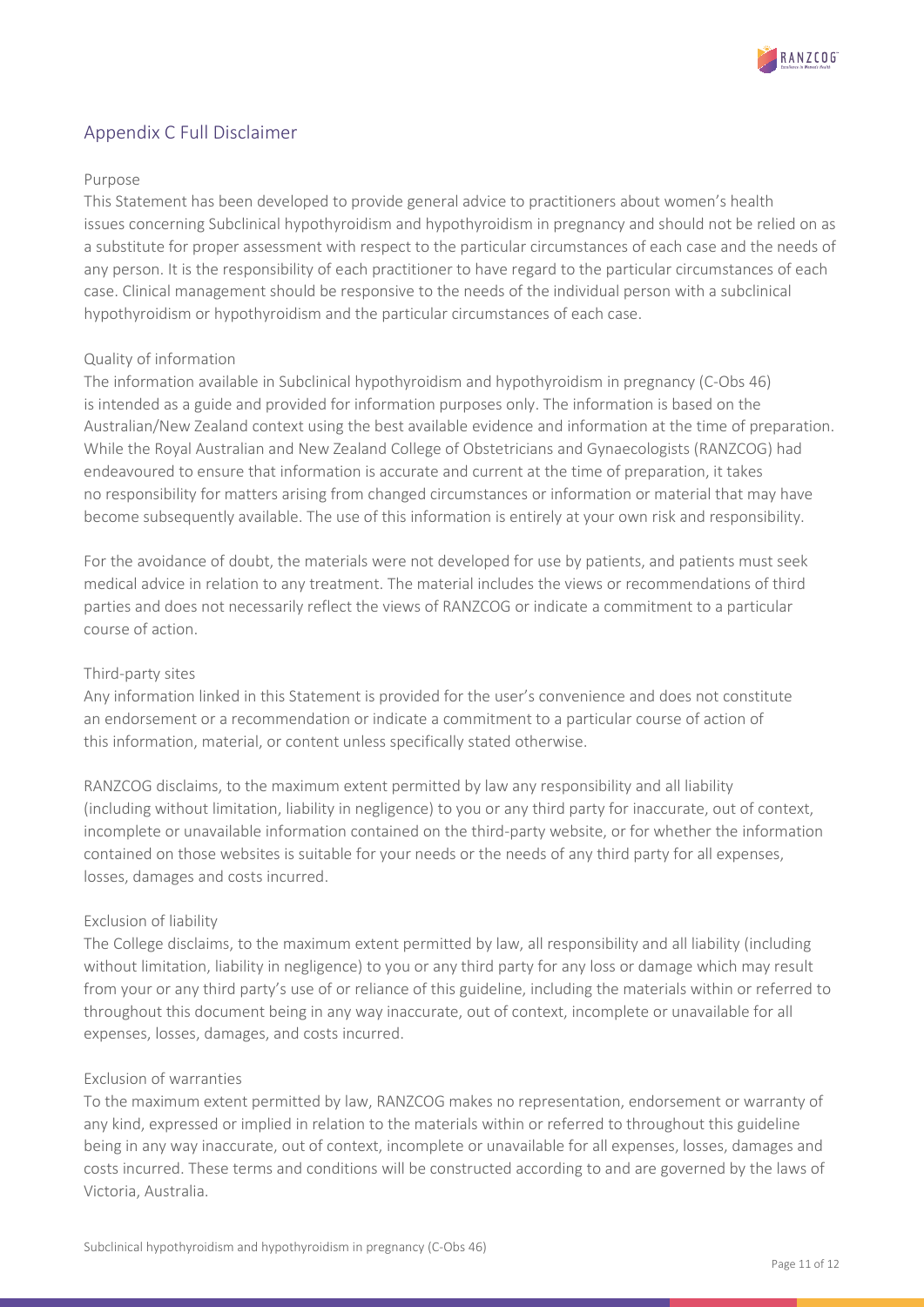

# <span id="page-10-0"></span>Appendix C Full Disclaimer

#### Purpose

This Statement has been developed to provide general advice to practitioners about women's health issues concerning Subclinical hypothyroidism and hypothyroidism in pregnancy and should not be relied on as a substitute for proper assessment with respect to the particular circumstances of each case and the needs of any person. It is the responsibility of each practitioner to have regard to the particular circumstances of each case. Clinical management should be responsive to the needs of the individual person with a subclinical hypothyroidism or hypothyroidism and the particular circumstances of each case.

#### Quality of information

The information available in Subclinical hypothyroidism and hypothyroidism in pregnancy (C-Obs 46) is intended as a guide and provided for information purposes only. The information is based on the Australian/New Zealand context using the best available evidence and information at the time of preparation. While the Royal Australian and New Zealand College of Obstetricians and Gynaecologists (RANZCOG) had endeavoured to ensure that information is accurate and current at the time of preparation, it takes no responsibility for matters arising from changed circumstances or information or material that may have become subsequently available. The use of this information is entirely at your own risk and responsibility.

For the avoidance of doubt, the materials were not developed for use by patients, and patients must seek medical advice in relation to any treatment. The material includes the views or recommendations of third parties and does not necessarily reflect the views of RANZCOG or indicate a commitment to a particular course of action.

#### Third-party sites

Any information linked in this Statement is provided for the user's convenience and does not constitute an endorsement or a recommendation or indicate a commitment to a particular course of action of this information, material, or content unless specifically stated otherwise.

RANZCOG disclaims, to the maximum extent permitted by law any responsibility and all liability (including without limitation, liability in negligence) to you or any third party for inaccurate, out of context, incomplete or unavailable information contained on the third-party website, or for whether the information contained on those websites is suitable for your needs or the needs of any third party for all expenses, losses, damages and costs incurred.

#### Exclusion of liability

The College disclaims, to the maximum extent permitted by law, all responsibility and all liability (including without limitation, liability in negligence) to you or any third party for any loss or damage which may result from your or any third party's use of or reliance of this guideline, including the materials within or referred to throughout this document being in any way inaccurate, out of context, incomplete or unavailable for all expenses, losses, damages, and costs incurred.

#### Exclusion of warranties

To the maximum extent permitted by law, RANZCOG makes no representation, endorsement or warranty of any kind, expressed or implied in relation to the materials within or referred to throughout this guideline being in any way inaccurate, out of context, incomplete or unavailable for all expenses, losses, damages and costs incurred. These terms and conditions will be constructed according to and are governed by the laws of Victoria, Australia.